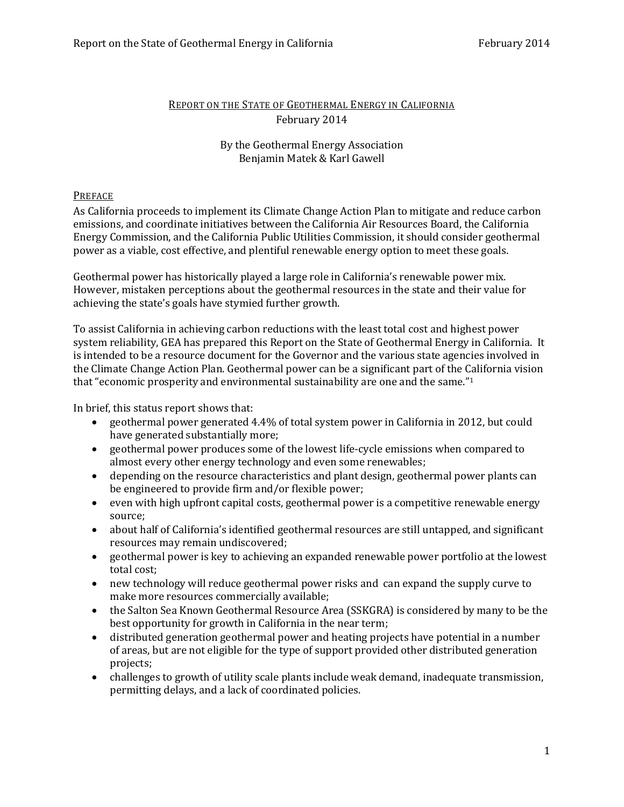# REPORT ON THE STATE OF GEOTHERMAL ENERGY IN CALIFORNIA February 2014

# By the Geothermal Energy Association Benjamin Matek & Karl Gawell

# PREFACE

As California proceeds to implement its Climate Change Action Plan to mitigate and reduce carbon emissions, and coordinate initiatives between the California Air Resources Board, the California Energy Commission, and the California Public Utilities Commission, it should consider geothermal power as a viable, cost effective, and plentiful renewable energy option to meet these goals.

Geothermal power has historically played a large role in California's renewable power mix. However, mistaken perceptions about the geothermal resources in the state and their value for achieving the state's goals have stymied further growth.

To assist California in achieving carbon reductions with the least total cost and highest power system reliability, GEA has prepared this Report on the State of Geothermal Energy in California. It is intended to be a resource document for the Governor and the various state agencies involved in the Climate Change Action Plan. Geothermal power can be a significant part of the California vision that "economic prosperity and environmental sustainability are one and the same."<sup>1</sup>

In brief, this status report shows that:

- geothermal power generated 4.4% of total system power in California in 2012, but could have generated substantially more;
- geothermal power produces some of the lowest life-cycle emissions when compared to almost every other energy technology and even some renewables;
- depending on the resource characteristics and plant design, geothermal power plants can be engineered to provide firm and/or flexible power;
- even with high upfront capital costs, geothermal power is a competitive renewable energy source;
- about half of California's identified geothermal resources are still untapped, and significant resources may remain undiscovered;
- geothermal power is key to achieving an expanded renewable power portfolio at the lowest total cost;
- new technology will reduce geothermal power risks and can expand the supply curve to make more resources commercially available;
- the Salton Sea Known Geothermal Resource Area (SSKGRA) is considered by many to be the best opportunity for growth in California in the near term;
- distributed generation geothermal power and heating projects have potential in a number of areas, but are not eligible for the type of support provided other distributed generation projects;
- challenges to growth of utility scale plants include weak demand, inadequate transmission, permitting delays, and a lack of coordinated policies.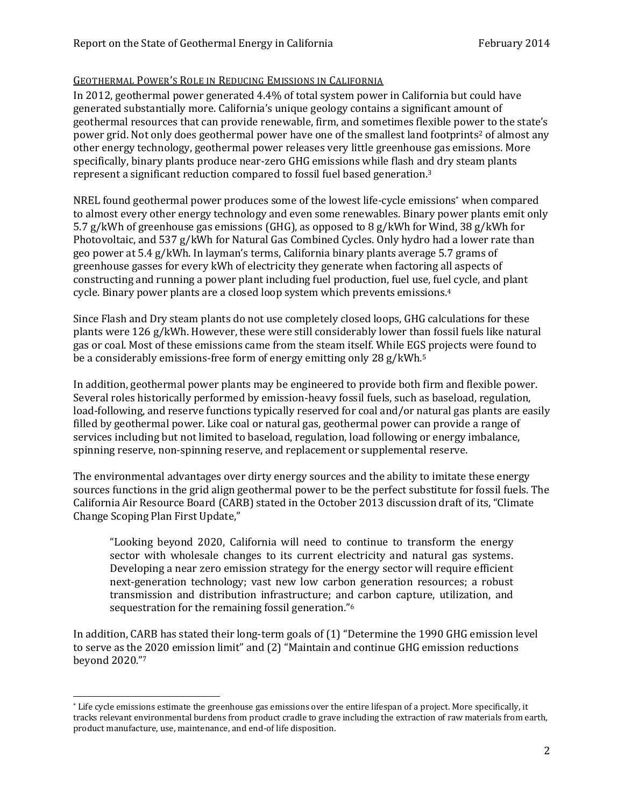### GEOTHERMAL POWER'S ROLE IN REDUCING EMISSIONS IN CALIFORNIA

In 2012, geothermal power generated 4.4% of total system power in California but could have generated substantially more. California's unique geology contains a significant amount of geothermal resources that can provide renewable, firm, and sometimes flexible power to the state's power grid. Not only does geothermal power have one of the smallest land footprints <sup>2</sup> of almost any other energy technology, geothermal power releases very little greenhouse gas emissions. More specifically, binary plants produce near-zero GHG emissions while flash and dry steam plants represent a significant reduction compared to fossil fuel based generation.<sup>3</sup>

NREL found geothermal power produces some of the lowest life-cycle emissions\* when compared to almost every other energy technology and even some renewables. Binary power plants emit only 5.7 g/kWh of greenhouse gas emissions (GHG), as opposed to 8 g/kWh for Wind, 38 g/kWh for Photovoltaic, and 537 g/kWh for Natural Gas Combined Cycles. Only hydro had a lower rate than geo power at 5.4 g/kWh. In layman's terms, California binary plants average 5.7 grams of greenhouse gasses for every kWh of electricity they generate when factoring all aspects of constructing and running a power plant including fuel production, fuel use, fuel cycle, and plant cycle. Binary power plants are a closed loop system which prevents emissions.<sup>4</sup>

Since Flash and Dry steam plants do not use completely closed loops, GHG calculations for these plants were 126 g/kWh. However, these were still considerably lower than fossil fuels like natural gas or coal. Most of these emissions came from the steam itself. While EGS projects were found to be a considerably emissions-free form of energy emitting only 28 g/kWh.<sup>5</sup>

In addition, geothermal power plants may be engineered to provide both firm and flexible power. Several roles historically performed by emission-heavy fossil fuels, such as baseload, regulation, load-following, and reserve functions typically reserved for coal and/or natural gas plants are easily filled by geothermal power. Like coal or natural gas, geothermal power can provide a range of services including but not limited to baseload, regulation, load following or energy imbalance, spinning reserve, non-spinning reserve, and replacement or supplemental reserve.

The environmental advantages over dirty energy sources and the ability to imitate these energy sources functions in the grid align geothermal power to be the perfect substitute for fossil fuels. The California Air Resource Board (CARB) stated in the October 2013 discussion draft of its, "Climate Change Scoping Plan First Update,"

"Looking beyond 2020, California will need to continue to transform the energy sector with wholesale changes to its current electricity and natural gas systems. Developing a near zero emission strategy for the energy sector will require efficient next-generation technology; vast new low carbon generation resources; a robust transmission and distribution infrastructure; and carbon capture, utilization, and sequestration for the remaining fossil generation."<sup>6</sup>

In addition, CARB has stated their long-term goals of (1) "Determine the 1990 GHG emission level to serve as the 2020 emission limit" and (2) "Maintain and continue GHG emission reductions beyond 2020." 7

 $\overline{\phantom{0}}$ 

<sup>\*</sup> Life cycle emissions estimate the greenhouse gas emissions over the entire lifespan of a project. More specifically, it tracks relevant environmental burdens from product cradle to grave including the extraction of raw materials from earth, product manufacture, use, maintenance, and end-of life disposition.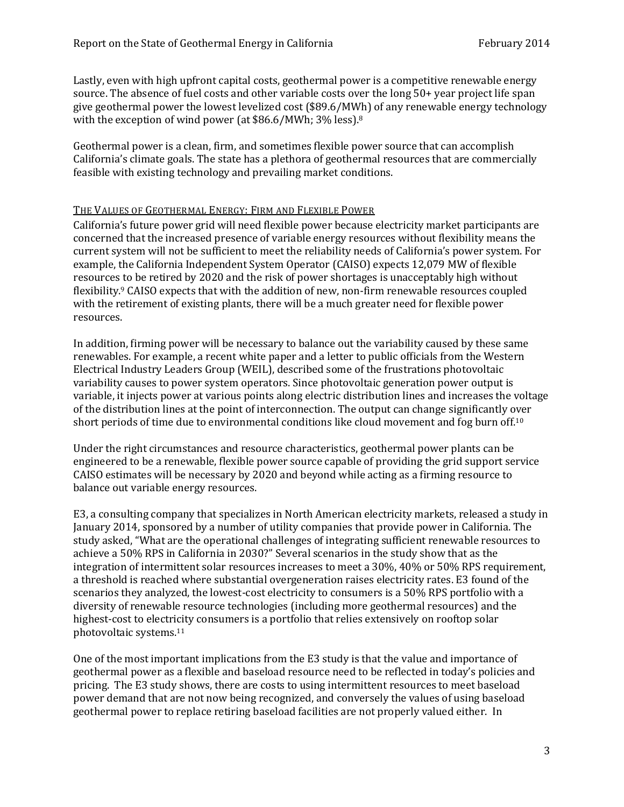Lastly, even with high upfront capital costs, geothermal power is a competitive renewable energy source. The absence of fuel costs and other variable costs over the long 50+ year project life span give geothermal power the lowest levelized cost (\$89.6/MWh) of any renewable energy technology with the exception of wind power (at \$86.6/MWh; 3% less).<sup>8</sup>

Geothermal power is a clean, firm, and sometimes flexible power source that can accomplish California's climate goals. The state has a plethora of geothermal resources that are commercially feasible with existing technology and prevailing market conditions.

### THE VALUES OF GEOTHERMAL ENERGY: FIRM AND FLEXIBLE POWER

California's future power grid will need flexible power because electricity market participants are concerned that the increased presence of variable energy resources without flexibility means the current system will not be sufficient to meet the reliability needs of California's power system. For example, the California Independent System Operator (CAISO) expects 12,079 MW of flexible resources to be retired by 2020 and the risk of power shortages is unacceptably high without flexibility.<sup>9</sup> CAISO expects that with the addition of new, non-firm renewable resources coupled with the retirement of existing plants, there will be a much greater need for flexible power resources.

In addition, firming power will be necessary to balance out the variability caused by these same renewables. For example, a recent white paper and a letter to public officials from the Western Electrical Industry Leaders Group (WEIL), described some of the frustrations photovoltaic variability causes to power system operators. Since photovoltaic generation power output is variable, it injects power at various points along electric distribution lines and increases the voltage of the distribution lines at the point of interconnection. The output can change significantly over short periods of time due to environmental conditions like cloud movement and fog burn off.<sup>10</sup>

Under the right circumstances and resource characteristics, geothermal power plants can be engineered to be a renewable, flexible power source capable of providing the grid support service CAISO estimates will be necessary by 2020 and beyond while acting as a firming resource to balance out variable energy resources.

E3, a consulting company that specializes in North American electricity markets, released a study in January 2014, sponsored by a number of utility companies that provide power in California. The study asked, "What are the operational challenges of integrating sufficient renewable resources to achieve a 50% RPS in California in 2030?" Several scenarios in the study show that as the integration of intermittent solar resources increases to meet a 30%, 40% or 50% RPS requirement, a threshold is reached where substantial overgeneration raises electricity rates. E3 found of the scenarios they analyzed, the lowest-cost electricity to consumers is a 50% RPS portfolio with a diversity of renewable resource technologies (including more geothermal resources) and the highest-cost to electricity consumers is a portfolio that relies extensively on rooftop solar photovoltaic systems. 11

One of the most important implications from the E3 study is that the value and importance of geothermal power as a flexible and baseload resource need to be reflected in today's policies and pricing. The E3 study shows, there are costs to using intermittent resources to meet baseload power demand that are not now being recognized, and conversely the values of using baseload geothermal power to replace retiring baseload facilities are not properly valued either. In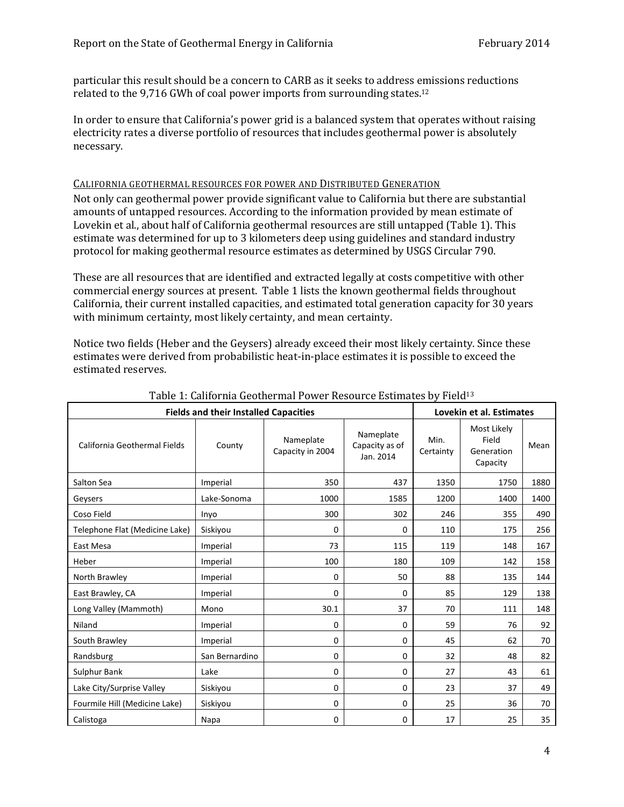particular this result should be a concern to CARB as it seeks to address emissions reductions related to the 9,716 GWh of coal power imports from surrounding states.<sup>12</sup>

In order to ensure that California's power grid is a balanced system that operates without raising electricity rates a diverse portfolio of resources that includes geothermal power is absolutely necessary.

### CALIFORNIA GEOTHERMAL RESOURCES FOR POWER AND DISTRIBUTED GENERATION

Not only can geothermal power provide significant value to California but there are substantial amounts of untapped resources. According to the information provided by mean estimate of Lovekin et al., about half of California geothermal resources are still untapped (Table 1). This estimate was determined for up to 3 kilometers deep using guidelines and standard industry protocol for making geothermal resource estimates as determined by USGS Circular 790.

These are all resources that are identified and extracted legally at costs competitive with other commercial energy sources at present. Table 1 lists the known geothermal fields throughout California, their current installed capacities, and estimated total generation capacity for 30 years with minimum certainty, most likely certainty, and mean certainty.

Notice two fields (Heber and the Geysers) already exceed their most likely certainty. Since these estimates were derived from probabilistic heat-in-place estimates it is possible to exceed the estimated reserves.

| <b>Fields and their Installed Capacities</b> | Lovekin et al. Estimates |                               |                                          |                                                                     |      |      |
|----------------------------------------------|--------------------------|-------------------------------|------------------------------------------|---------------------------------------------------------------------|------|------|
| California Geothermal Fields                 | County                   | Nameplate<br>Capacity in 2004 | Nameplate<br>Capacity as of<br>Jan. 2014 | Most Likely<br>Min.<br>Field<br>Certainty<br>Generation<br>Capacity |      | Mean |
| Salton Sea                                   | Imperial                 | 350                           | 437                                      | 1350                                                                | 1750 | 1880 |
| Geysers                                      | Lake-Sonoma              | 1000                          | 1585                                     | 1200                                                                | 1400 | 1400 |
| Coso Field                                   | Inyo                     | 300                           | 302                                      | 246                                                                 | 355  | 490  |
| Telephone Flat (Medicine Lake)               | Siskiyou                 | 0                             | $\Omega$                                 | 110                                                                 | 175  | 256  |
| East Mesa                                    | Imperial                 | 73                            | 115                                      | 119                                                                 | 148  | 167  |
| Heber                                        | Imperial                 | 100                           | 180                                      | 109                                                                 | 142  | 158  |
| North Brawley                                | Imperial                 | 0                             | 50                                       | 88                                                                  | 135  | 144  |
| East Brawley, CA                             | Imperial                 | 0                             | $\Omega$                                 | 85                                                                  | 129  | 138  |
| Long Valley (Mammoth)                        | Mono                     | 30.1                          | 37                                       | 70                                                                  | 111  | 148  |
| Niland                                       | Imperial                 | 0                             | 0                                        | 59                                                                  | 76   | 92   |
| South Brawley                                | Imperial                 | 0                             | 0                                        | 45                                                                  | 62   | 70   |
| Randsburg                                    | San Bernardino           | 0                             | $\mathbf 0$                              | 32                                                                  | 48   | 82   |
| Sulphur Bank                                 | Lake                     | 0                             | 0                                        | 27                                                                  | 43   | 61   |
| Lake City/Surprise Valley                    | Siskiyou                 | 0                             | 0                                        | 23                                                                  | 37   | 49   |
| Fourmile Hill (Medicine Lake)                | Siskiyou                 | 0                             | 0                                        | 25                                                                  | 36   | 70   |
| Calistoga                                    | Napa                     | 0                             | 0                                        | 17                                                                  | 25   | 35   |

### Table 1: California Geothermal Power Resource Estimates by Field<sup>13</sup>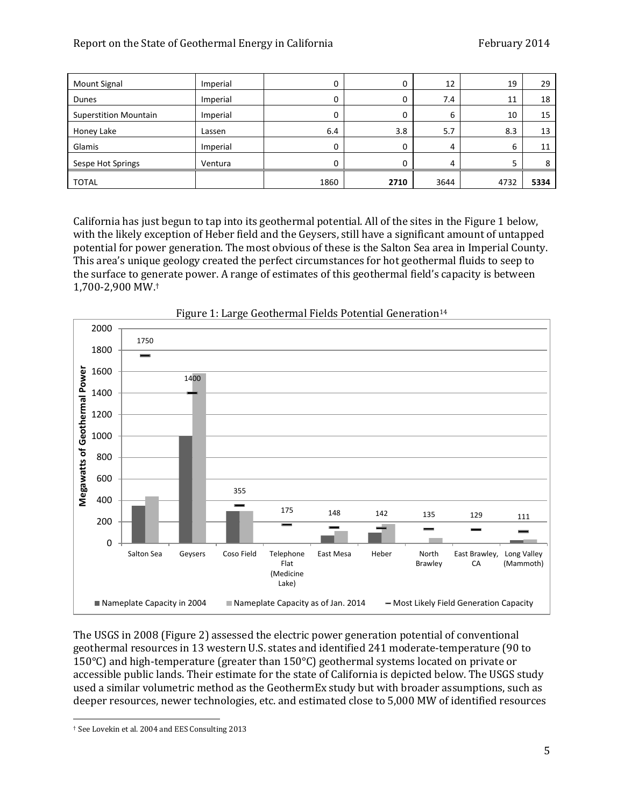| <b>Mount Signal</b>          | Imperial |      | υ    | 12   | 19   | 29   |
|------------------------------|----------|------|------|------|------|------|
| Dunes                        | Imperial |      |      | 7.4  | 11   | 18   |
| <b>Superstition Mountain</b> | Imperial |      | 0    | b    | 10   | 15   |
| Honey Lake                   | Lassen   | 6.4  | 3.8  | 5.7  | 8.3  | 13   |
| Glamis                       | Imperial |      |      | 4    | b    | 11   |
| Sespe Hot Springs            | Ventura  |      | 0    | 4    |      | 8    |
| <b>TOTAL</b>                 |          | 1860 | 2710 | 3644 | 4732 | 5334 |

California has just begun to tap into its geothermal potential. All of the sites in the Figure 1 below, with the likely exception of Heber field and the Geysers, still have a significant amount of untapped potential for power generation. The most obvious of these is the Salton Sea area in Imperial County. This area's unique geology created the perfect circumstances for hot geothermal fluids to seep to the surface to generate power. A range of estimates of this geothermal field's capacity is between 1,700-2,900 MW. †



Figure 1: Large Geothermal Fields Potential Generation<sup>14</sup>

The USGS in 2008 (Figure 2) assessed the electric power generation potential of conventional geothermal resources in 13 western U.S. states and identified 241 moderate-temperature (90 to 150°C) and high-temperature (greater than 150°C) geothermal systems located on private or accessible public lands. Their estimate for the state of California is depicted below. The USGS study used a similar volumetric method as the GeothermEx study but with broader assumptions, such as deeper resources, newer technologies, etc. and estimated close to 5,000 MW of identified resources

l

<sup>†</sup> See Lovekin et al. 2004 and EES Consulting 2013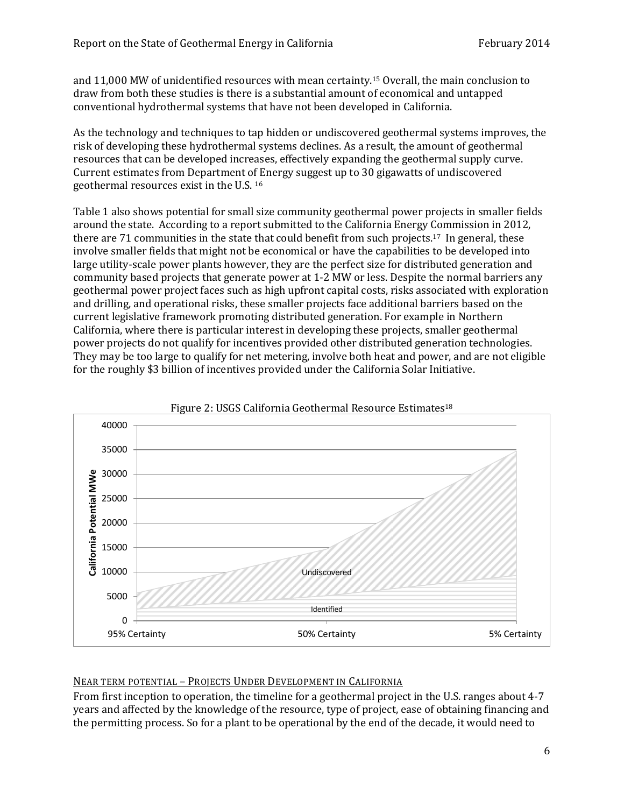and 11,000 MW of unidentified resources with mean certainty.<sup>15</sup> Overall, the main conclusion to draw from both these studies is there is a substantial amount of economical and untapped conventional hydrothermal systems that have not been developed in California.

As the technology and techniques to tap hidden or undiscovered geothermal systems improves, the risk of developing these hydrothermal systems declines. As a result, the amount of geothermal resources that can be developed increases, effectively expanding the geothermal supply curve. Current estimates from Department of Energy suggest up to 30 gigawatts of undiscovered geothermal resources exist in the U.S. <sup>16</sup>

Table 1 also shows potential for small size community geothermal power projects in smaller fields around the state. According to a report submitted to the California Energy Commission in 2012, there are 71 communities in the state that could benefit from such projects.<sup>17</sup> In general, these involve smaller fields that might not be economical or have the capabilities to be developed into large utility-scale power plants however, they are the perfect size for distributed generation and community based projects that generate power at 1-2 MW or less. Despite the normal barriers any geothermal power project faces such as high upfront capital costs, risks associated with exploration and drilling, and operational risks, these smaller projects face additional barriers based on the current legislative framework promoting distributed generation. For example in Northern California, where there is particular interest in developing these projects, smaller geothermal power projects do not qualify for incentives provided other distributed generation technologies. They may be too large to qualify for net metering, involve both heat and power, and are not eligible for the roughly \$3 billion of incentives provided under the California Solar Initiative.





# NEAR TERM POTENTIAL – PROJECTS UNDER DEVELOPMENT IN CALIFORNIA

From first inception to operation, the timeline for a geothermal project in the U.S. ranges about 4-7 years and affected by the knowledge of the resource, type of project, ease of obtaining financing and the permitting process. So for a plant to be operational by the end of the decade, it would need to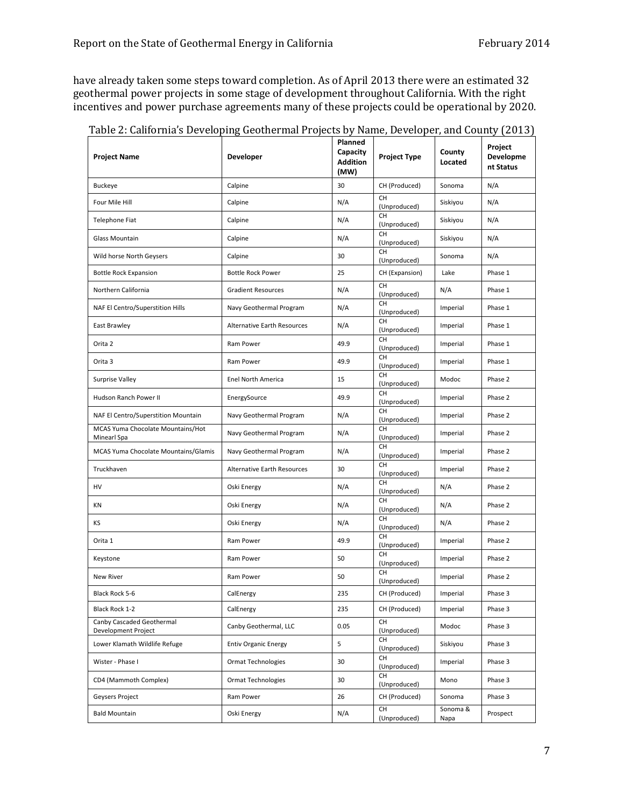have already taken some steps toward completion. As of April 2013 there were an estimated 32 geothermal power projects in some stage of development throughout California. With the right incentives and power purchase agreements many of these projects could be operational by 2020.

| <b>Project Name</b>                              | <b>Developer</b>            | rianned<br>Capacity<br><b>Addition</b><br>(MW) | <b>Project Type</b>       | County<br>Located | Project<br>Developme<br>nt Status |
|--------------------------------------------------|-----------------------------|------------------------------------------------|---------------------------|-------------------|-----------------------------------|
| <b>Buckeye</b>                                   | Calpine                     | 30                                             | CH (Produced)             | Sonoma            | N/A                               |
| Four Mile Hill                                   | Calpine                     | N/A                                            | <b>CH</b><br>(Unproduced) | Siskiyou          | N/A                               |
| Telephone Fiat                                   | Calpine                     | N/A                                            | <b>CH</b><br>(Unproduced) | Siskiyou          | N/A                               |
| <b>Glass Mountain</b>                            | Calpine                     | N/A                                            | <b>CH</b><br>(Unproduced) | Siskiyou          | N/A                               |
| Wild horse North Geysers                         | Calpine                     | 30                                             | <b>CH</b><br>(Unproduced) | Sonoma            | N/A                               |
| <b>Bottle Rock Expansion</b>                     | <b>Bottle Rock Power</b>    | 25                                             | CH (Expansion)            | Lake              | Phase 1                           |
| Northern California                              | <b>Gradient Resources</b>   | N/A                                            | <b>CH</b><br>(Unproduced) | N/A               | Phase 1                           |
| NAF El Centro/Superstition Hills                 | Navy Geothermal Program     | N/A                                            | <b>CH</b><br>(Unproduced) | Imperial          | Phase 1                           |
| East Brawley                                     | Alternative Earth Resources | N/A                                            | <b>CH</b><br>(Unproduced) | Imperial          | Phase 1                           |
| Orita 2                                          | Ram Power                   | 49.9                                           | <b>CH</b><br>(Unproduced) | Imperial          | Phase 1                           |
| Orita 3                                          | Ram Power                   | 49.9                                           | <b>CH</b><br>(Unproduced) | Imperial          | Phase 1                           |
| Surprise Valley                                  | Enel North America          | 15                                             | <b>CH</b><br>(Unproduced) | Modoc             | Phase 2                           |
| Hudson Ranch Power II                            | EnergySource                | 49.9                                           | <b>CH</b><br>(Unproduced) | Imperial          | Phase 2                           |
| NAF El Centro/Superstition Mountain              | Navy Geothermal Program     | N/A                                            | <b>CH</b><br>(Unproduced) | Imperial          | Phase 2                           |
| MCAS Yuma Chocolate Mountains/Hot<br>Minearl Spa | Navy Geothermal Program     | N/A                                            | <b>CH</b><br>(Unproduced) | Imperial          | Phase 2                           |
| MCAS Yuma Chocolate Mountains/Glamis             | Navy Geothermal Program     | N/A                                            | <b>CH</b><br>(Unproduced) | Imperial          | Phase 2                           |
| Truckhaven                                       | Alternative Earth Resources | 30                                             | CH<br>(Unproduced)        | Imperial          | Phase 2                           |
| HV                                               | Oski Energy                 | N/A                                            | <b>CH</b><br>(Unproduced) | N/A               | Phase 2                           |
| ΚN                                               | Oski Energy                 | N/A                                            | <b>CH</b><br>(Unproduced) | N/A               | Phase 2                           |
| KS                                               | Oski Energy                 | N/A                                            | <b>CH</b><br>(Unproduced) | N/A               | Phase 2                           |
| Orita 1                                          | Ram Power                   | 49.9                                           | <b>CH</b><br>(Unproduced) | Imperial          | Phase 2                           |
| Keystone                                         | Ram Power                   | 50                                             | <b>CH</b><br>(Unproduced) | Imperial          | Phase 2                           |
| <b>New River</b>                                 | Ram Power                   | 50                                             | <b>CH</b><br>(Unproduced) | Imperial          | Phase 2                           |
| Black Rock 5-6                                   | CalEnergy                   | 235                                            | CH (Produced)             | Imperial          | Phase 3                           |
| Black Rock 1-2                                   | CalEnergy                   | 235                                            | CH (Produced)             | Imperial          | Phase 3                           |
| Canby Cascaded Geothermal<br>Development Project | Canby Geothermal, LLC       | 0.05                                           | CH<br>(Unproduced)        | Modoc             | Phase 3                           |
| Lower Klamath Wildlife Refuge                    | <b>Entiv Organic Energy</b> | 5                                              | CH<br>(Unproduced)        | Siskiyou          | Phase 3                           |
| Wister - Phase I                                 | <b>Ormat Technologies</b>   | 30                                             | <b>CH</b><br>(Unproduced) | Imperial          | Phase 3                           |
| CD4 (Mammoth Complex)                            | <b>Ormat Technologies</b>   | 30                                             | CH<br>(Unproduced)        | Mono              | Phase 3                           |
| Geysers Project                                  | Ram Power                   | 26                                             | CH (Produced)             | Sonoma            | Phase 3                           |
| <b>Bald Mountain</b>                             | Oski Energy                 | N/A                                            | CH<br>(Unproduced)        | Sonoma &<br>Napa  | Prospect                          |

| Table 2: California's Developing Geothermal Projects by Name, Developer, and County (2013) |  |                |  |  |  |
|--------------------------------------------------------------------------------------------|--|----------------|--|--|--|
|                                                                                            |  | <b>Planned</b> |  |  |  |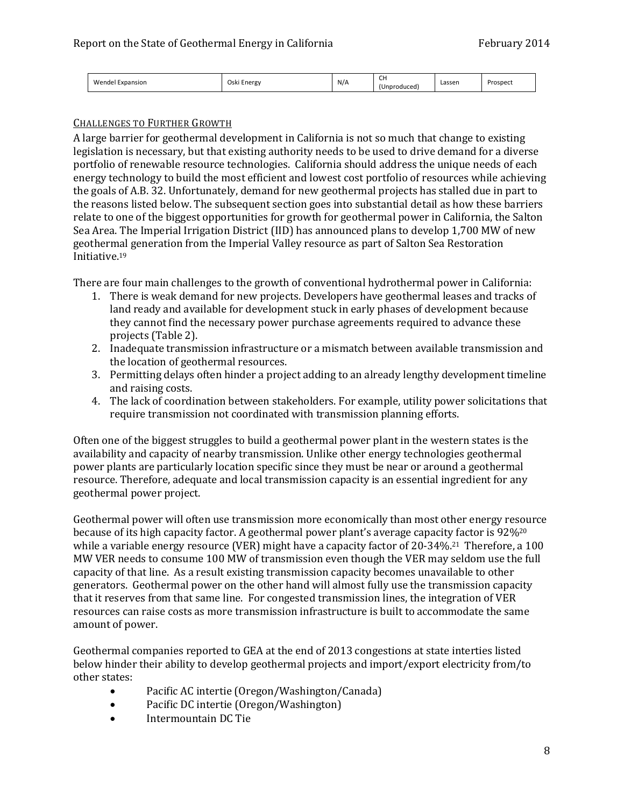| Wendel<br>Oski<br>Energy<br>Expansion | N/A | $\sim$<br>ີ<br>iproduced | Lassen | Prospect |
|---------------------------------------|-----|--------------------------|--------|----------|
|---------------------------------------|-----|--------------------------|--------|----------|

# CHALLENGES TO FURTHER GROWTH

A large barrier for geothermal development in California is not so much that change to existing legislation is necessary, but that existing authority needs to be used to drive demand for a diverse portfolio of renewable resource technologies. California should address the unique needs of each energy technology to build the most efficient and lowest cost portfolio of resources while achieving the goals of A.B. 32. Unfortunately, demand for new geothermal projects has stalled due in part to the reasons listed below. The subsequent section goes into substantial detail as how these barriers relate to one of the biggest opportunities for growth for geothermal power in California, the Salton Sea Area. The Imperial Irrigation District (IID) has announced plans to develop 1,700 MW of new geothermal generation from the Imperial Valley resource as part of Salton Sea Restoration Initiative.<sup>19</sup>

There are four main challenges to the growth of conventional hydrothermal power in California:

- 1. There is weak demand for new projects. Developers have geothermal leases and tracks of land ready and available for development stuck in early phases of development because they cannot find the necessary power purchase agreements required to advance these projects (Table 2).
- 2. Inadequate transmission infrastructure or a mismatch between available transmission and the location of geothermal resources.
- 3. Permitting delays often hinder a project adding to an already lengthy development timeline and raising costs.
- 4. The lack of coordination between stakeholders. For example, utility power solicitations that require transmission not coordinated with transmission planning efforts.

Often one of the biggest struggles to build a geothermal power plant in the western states is the availability and capacity of nearby transmission. Unlike other energy technologies geothermal power plants are particularly location specific since they must be near or around a geothermal resource. Therefore, adequate and local transmission capacity is an essential ingredient for any geothermal power project.

Geothermal power will often use transmission more economically than most other energy resource because of its high capacity factor. A geothermal power plant's average capacity factor is 92%<sup>20</sup> while a variable energy resource (VER) might have a capacity factor of 20-34%.<sup>21</sup> Therefore, a 100 MW VER needs to consume 100 MW of transmission even though the VER may seldom use the full capacity of that line. As a result existing transmission capacity becomes unavailable to other generators. Geothermal power on the other hand will almost fully use the transmission capacity that it reserves from that same line. For congested transmission lines, the integration of VER resources can raise costs as more transmission infrastructure is built to accommodate the same amount of power.

Geothermal companies reported to GEA at the end of 2013 congestions at state interties listed below hinder their ability to develop geothermal projects and import/export electricity from/to other states:

- Pacific AC intertie (Oregon/Washington/Canada)
- Pacific DC intertie (Oregon/Washington)
- Intermountain DC Tie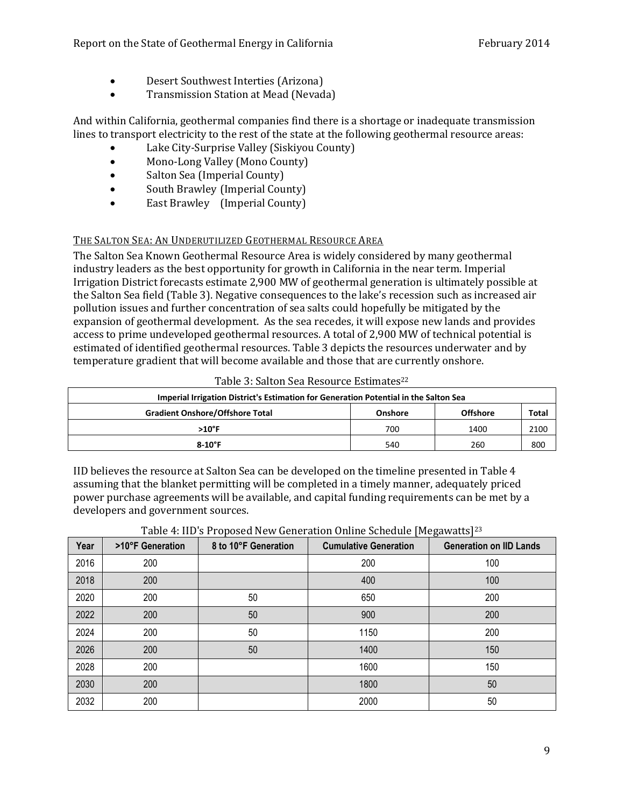- Desert Southwest Interties (Arizona)
- Transmission Station at Mead (Nevada)

And within California, geothermal companies find there is a shortage or inadequate transmission lines to transport electricity to the rest of the state at the following geothermal resource areas:

- Lake City-Surprise Valley (Siskiyou County)
- Mono-Long Valley (Mono County)
- Salton Sea (Imperial County)
- South Brawley (Imperial County)
- East Brawley (Imperial County)

# THE SALTON SEA: AN UNDERUTILIZED GEOTHERMAL RESOURCE AREA

The Salton Sea Known Geothermal Resource Area is widely considered by many geothermal industry leaders as the best opportunity for growth in California in the near term. Imperial Irrigation District forecasts estimate 2,900 MW of geothermal generation is ultimately possible at the Salton Sea field (Table 3). Negative consequences to the lake's recession such as increased air pollution issues and further concentration of sea salts could hopefully be mitigated by the expansion of geothermal development. As the sea recedes, it will expose new lands and provides access to prime undeveloped geothermal resources. A total of 2,900 MW of technical potential is estimated of identified geothermal resources. Table 3 depicts the resources underwater and by temperature gradient that will become available and those that are currently onshore.

| Imperial Irrigation District's Estimation for Generation Potential in the Salton Sea |     |      |      |  |  |  |  |
|--------------------------------------------------------------------------------------|-----|------|------|--|--|--|--|
| <b>Gradient Onshore/Offshore Total</b><br><b>Offshore</b><br>Onshore                 |     |      |      |  |  |  |  |
| $>10^{\circ}$ F                                                                      | 700 | 1400 | 2100 |  |  |  |  |
| $8-10^{\circ}$ F                                                                     | 540 | 260  | 800  |  |  |  |  |

Table 3: Salton Sea Resource Estimates<sup>22</sup>

IID believes the resource at Salton Sea can be developed on the timeline presented in Table 4 assuming that the blanket permitting will be completed in a timely manner, adequately priced power purchase agreements will be available, and capital funding requirements can be met by a developers and government sources.

| Year | >10°F Generation | 8 to 10°F Generation | <b>Cumulative Generation</b> | <b>Generation on IID Lands</b> |
|------|------------------|----------------------|------------------------------|--------------------------------|
| 2016 | 200              |                      | 200                          | 100                            |
| 2018 | 200              |                      | 400                          | 100                            |
| 2020 | 200              | 50                   | 650                          | 200                            |
| 2022 | 200              | 50                   | 900                          | 200                            |
| 2024 | 200              | 50                   | 1150                         | 200                            |
| 2026 | 200              | 50                   | 1400                         | 150                            |
| 2028 | 200              |                      | 1600                         | 150                            |
| 2030 | 200              |                      | 1800                         | 50                             |
| 2032 | 200              |                      | 2000                         | 50                             |

# Table 4: IID's Proposed New Generation Online Schedule [Megawatts]<sup>23</sup>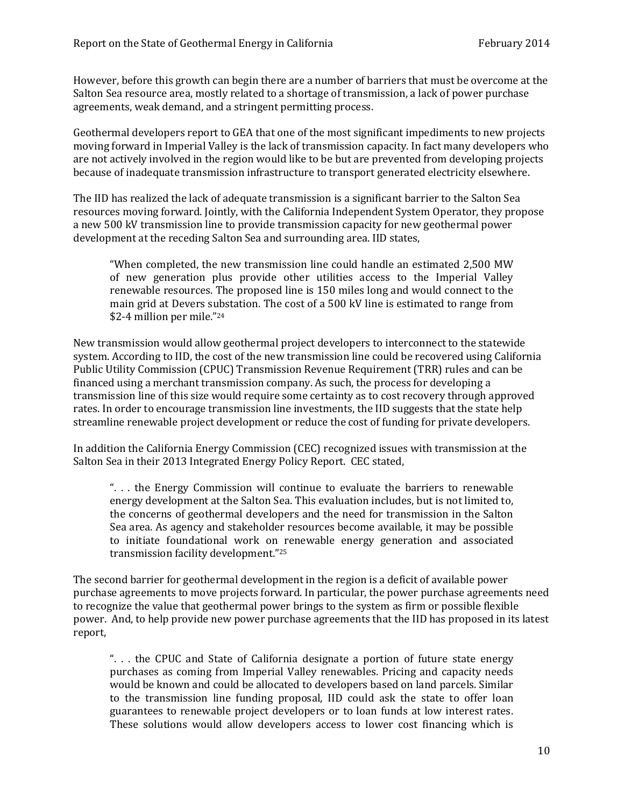However, before this growth can begin there are a number of barriers that must be overcome at the Salton Sea resource area, mostly related to a shortage of transmission, a lack of power purchase agreements, weak demand, and a stringent permitting process.

Geothermal developers report to GEA that one of the most significant impediments to new projects moving forward in Imperial Valley is the lack of transmission capacity. In fact many developers who are not actively involved in the region would like to be but are prevented from developing projects because of inadequate transmission infrastructure to transport generated electricity elsewhere.

The IID has realized the lack of adequate transmission is a significant barrier to the Salton Sea resources moving forward. Jointly, with the California Independent System Operator, they propose a new 500 kV transmission line to provide transmission capacity for new geothermal power development at the receding Salton Sea and surrounding area. IID states,

"When completed, the new transmission line could handle an estimated 2,500 MW of new generation plus provide other utilities access to the Imperial Valley renewable resources. The proposed line is 150 miles long and would connect to the main grid at Devers substation. The cost of a 500 kV line is estimated to range from \$2-4 million per mile."<sup>24</sup>

New transmission would allow geothermal project developers to interconnect to the statewide system. According to IID, the cost of the new transmission line could be recovered using California Public Utility Commission (CPUC) Transmission Revenue Requirement (TRR) rules and can be financed using a merchant transmission company. As such, the process for developing a transmission line of this size would require some certainty as to cost recovery through approved rates. In order to encourage transmission line investments, the IID suggests that the state help streamline renewable project development or reduce the cost of funding for private developers.

In addition the California Energy Commission (CEC) recognized issues with transmission at the Salton Sea in their 2013 Integrated Energy Policy Report. CEC stated,

". . . the Energy Commission will continue to evaluate the barriers to renewable energy development at the Salton Sea. This evaluation includes, but is not limited to, the concerns of geothermal developers and the need for transmission in the Salton Sea area. As agency and stakeholder resources become available, it may be possible to initiate foundational work on renewable energy generation and associated transmission facility development."<sup>25</sup>

The second barrier for geothermal development in the region is a deficit of available power purchase agreements to move projects forward. In particular, the power purchase agreements need to recognize the value that geothermal power brings to the system as firm or possible flexible power. And, to help provide new power purchase agreements that the IID has proposed in its latest report,

". . . the CPUC and State of California designate a portion of future state energy purchases as coming from Imperial Valley renewables. Pricing and capacity needs would be known and could be allocated to developers based on land parcels. Similar to the transmission line funding proposal, IID could ask the state to offer loan guarantees to renewable project developers or to loan funds at low interest rates. These solutions would allow developers access to lower cost financing which is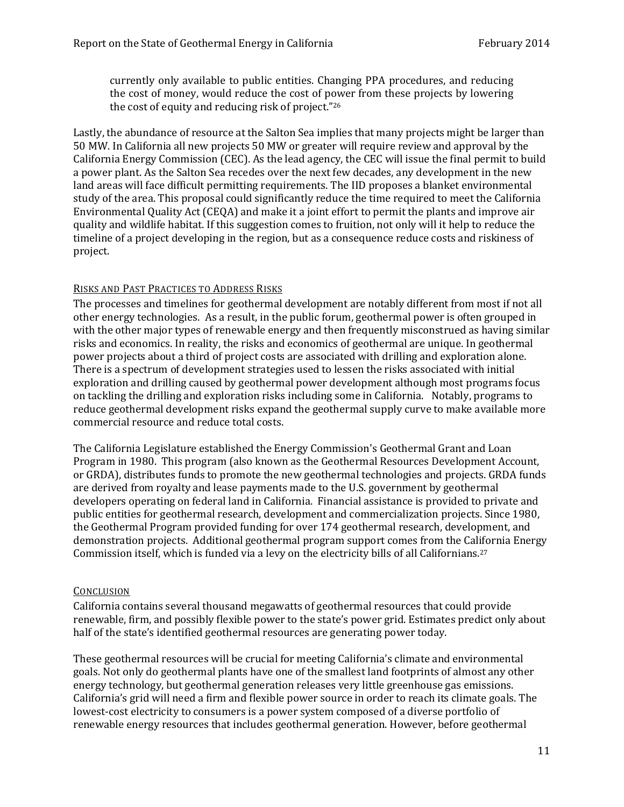currently only available to public entities. Changing PPA procedures, and reducing the cost of money, would reduce the cost of power from these projects by lowering the cost of equity and reducing risk of project."<sup>26</sup>

Lastly, the abundance of resource at the Salton Sea implies that many projects might be larger than 50 MW. In California all new projects 50 MW or greater will require review and approval by the California Energy Commission (CEC). As the lead agency, the CEC will issue the final permit to build a power plant. As the Salton Sea recedes over the next few decades, any development in the new land areas will face difficult permitting requirements. The IID proposes a blanket environmental study of the area. This proposal could significantly reduce the time required to meet the California Environmental Quality Act (CEQA) and make it a joint effort to permit the plants and improve air quality and wildlife habitat. If this suggestion comes to fruition, not only will it help to reduce the timeline of a project developing in the region, but as a consequence reduce costs and riskiness of project.

## RISKS AND PAST PRACTICES TO ADDRESS RISKS

The processes and timelines for geothermal development are notably different from most if not all other energy technologies. As a result, in the public forum, geothermal power is often grouped in with the other major types of renewable energy and then frequently misconstrued as having similar risks and economics. In reality, the risks and economics of geothermal are unique. In geothermal power projects about a third of project costs are associated with drilling and exploration alone. There is a spectrum of development strategies used to lessen the risks associated with initial exploration and drilling caused by geothermal power development although most programs focus on tackling the drilling and exploration risks including some in California. Notably, programs to reduce geothermal development risks expand the geothermal supply curve to make available more commercial resource and reduce total costs.

The California Legislature established the Energy Commission's Geothermal Grant and Loan Program in 1980. This program (also known as the Geothermal Resources Development Account, or GRDA), distributes funds to promote the new geothermal technologies and projects. GRDA funds are derived from royalty and lease payments made to the U.S. government by geothermal developers operating on federal land in California. Financial assistance is provided to private and public entities for geothermal research, development and commercialization projects. Since 1980, the Geothermal Program provided funding for over 174 geothermal research, development, and demonstration projects. Additional geothermal program support comes from the California Energy Commission itself, which is funded via a levy on the electricity bills of all Californians.<sup>27</sup>

### **CONCLUSION**

California contains several thousand megawatts of geothermal resources that could provide renewable, firm, and possibly flexible power to the state's power grid. Estimates predict only about half of the state's identified geothermal resources are generating power today.

These geothermal resources will be crucial for meeting California's climate and environmental goals. Not only do geothermal plants have one of the smallest land footprints of almost any other energy technology, but geothermal generation releases very little greenhouse gas emissions. California's grid will need a firm and flexible power source in order to reach its climate goals. The lowest-cost electricity to consumers is a power system composed of a diverse portfolio of renewable energy resources that includes geothermal generation. However, before geothermal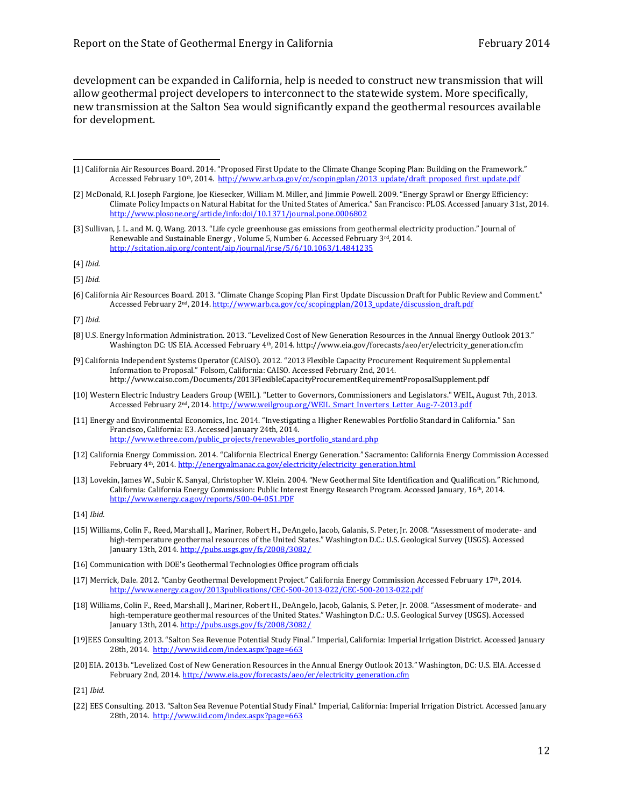development can be expanded in California, help is needed to construct new transmission that will allow geothermal project developers to interconnect to the statewide system. More specifically, new transmission at the Salton Sea would significantly expand the geothermal resources available for development.

l

[6] California Air Resources Board. 2013. "Climate Change Scoping Plan First Update Discussion Draft for Public Review and Comment." Accessed February 2<sup>nd</sup>, 2014[. http://www.arb.ca.gov/cc/scopingplan/2013\\_update/discussion\\_draft.pdf](http://www.arb.ca.gov/cc/scopingplan/2013_update/discussion_draft.pdf)

- [8] U.S. Energy Information Administration. 2013. "Levelized Cost of New Generation Resources in the Annual Energy Outlook 2013." Washington DC: US EIA. Accessed February 4<sup>th</sup>, 2014[. http://www.eia.gov/forecasts/aeo/er/electricity\\_generation.cfm](http://www.eia.gov/forecasts/aeo/er/electricity_generation.cfm)
- [9] California Independent Systems Operator (CAISO). 2012. "2013 Flexible Capacity Procurement Requirement Supplemental Information to Proposal." Folsom, California: CAISO. Accessed February 2nd, 2014. <http://www.caiso.com/Documents/2013FlexibleCapacityProcurementRequirementProposalSupplement.pdf>
- [10] Western Electric Industry Leaders Group (WEIL). "Letter to Governors, Commissioners and Legislators." WEIL, August 7th, 2013. Accessed February 2<sup>nd</sup>, 2014[. http://www.weilgroup.org/WEIL\\_Smart\\_Inverters\\_Letter\\_Aug-7-2013.pdf](http://www.weilgroup.org/WEIL_Smart_Inverters_Letter_Aug-7-2013.pdf)
- [11] Energy and Environmental Economics, Inc. 2014. "Investigating a Higher Renewables Portfolio Standard in California." San Francisco, California: E3. Accessed January 24th, 2014. [http://www.ethree.com/public\\_projects/renewables\\_portfolio\\_standard.php](http://www.ethree.com/public_projects/renewables_portfolio_standard.php)
- [12] California Energy Commission. 2014. "California Electrical Energy Generation." Sacramento: California Energy Commission Accessed February 4<sup>th</sup>, 2014[. http://energyalmanac.ca.gov/electricity/electricity\\_generation.html](http://energyalmanac.ca.gov/electricity/electricity_generation.html)
- [13] Lovekin, James W., Subir K. Sanyal, Christopher W. Klein. 2004. "New Geothermal Site Identification and Qualification." Richmond, California: California Energy Commission: Public Interest Energy Research Program. Accessed January, 16th, 2014. <http://www.energy.ca.gov/reports/500-04-051.PDF>

- [15] Williams, Colin F., Reed, Marshall J., Mariner, Robert H., DeAngelo, Jacob, Galanis, S. Peter, Jr. 2008. "Assessment of moderate- and high-temperature geothermal resources of the United States." Washington D.C.: U.S. Geological Survey (USGS). Accessed January 13th, 2014[. http://pubs.usgs.gov/fs/2008/3082/](http://pubs.usgs.gov/fs/2008/3082/)
- [16] Communication with DOE's Geothermal Technologies Office program officials
- [17] Merrick, Dale. 2012. "Canby Geothermal Development Project." California Energy Commission Accessed February 17th, 2014. <http://www.energy.ca.gov/2013publications/CEC-500-2013-022/CEC-500-2013-022.pdf>
- [18] Williams, Colin F., Reed, Marshall J., Mariner, Robert H., DeAngelo, Jacob, Galanis, S. Peter, Jr. 2008. "Assessment of moderate- and high-temperature geothermal resources of the United States." Washington D.C.: U.S. Geological Survey (USGS). Accessed January 13th, 2014[. http://pubs.usgs.gov/fs/2008/3082/](http://pubs.usgs.gov/fs/2008/3082/)
- [19]EES Consulting. 2013. "Salton Sea Revenue Potential Study Final." Imperial, California: Imperial Irrigation District. Accessed January 28th, 2014.<http://www.iid.com/index.aspx?page=663>
- [20] EIA. 2013b. "Levelized Cost of New Generation Resources in the Annual Energy Outlook 2013." Washington, DC: U.S. EIA. Accessed February 2nd, 2014. [http://www.eia.gov/forecasts/aeo/er/electricity\\_generation.cfm](http://www.eia.gov/forecasts/aeo/er/electricity_generation.cfm)

[21] *Ibid.*

[22] EES Consulting. 2013. "Salton Sea Revenue Potential Study Final." Imperial, California: Imperial Irrigation District. Accessed January 28th, 2014.<http://www.iid.com/index.aspx?page=663>

<sup>[1]</sup> California Air Resources Board. 2014. "Proposed First Update to the Climate Change Scoping Plan: Building on the Framework." Accessed February 10<sup>th</sup>, 2014. [http://www.arb.ca.gov/cc/scopingplan/2013\\_update/draft\\_proposed\\_first\\_update.pdf](http://www.arb.ca.gov/cc/scopingplan/2013_update/draft_proposed_first_update.pdf)

<sup>[2]</sup> McDonald, R.I. Joseph Fargione, Joe Kiesecker, William M. Miller, and Jimmie Powell. 2009. "Energy Sprawl or Energy Efficiency: Climate Policy Impacts on Natural Habitat for the United States of America." San Francisco: PLOS. Accessed January 31st, 2014. <http://www.plosone.org/article/info:doi/10.1371/journal.pone.0006802>

<sup>[3]</sup> Sullivan, J. L. and M. Q. Wang. 2013. "Life cycle greenhouse gas emissions from geothermal electricity production." Journal of Renewable and Sustainable Energy , Volume 5, Number 6. Accessed February 3rd, 2014. <http://scitation.aip.org/content/aip/journal/jrse/5/6/10.1063/1.4841235>

<sup>[4]</sup> *Ibid.*

<sup>[5]</sup> *Ibid.*

<sup>[7]</sup> *Ibid.*

<sup>[14]</sup> *Ibid.*